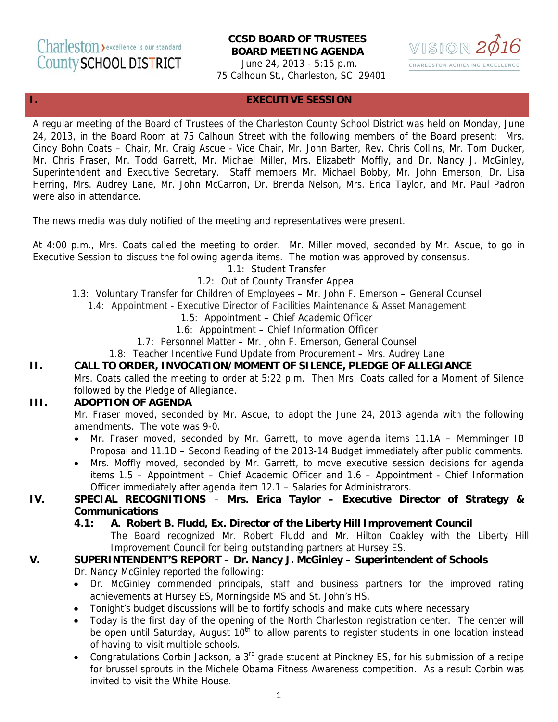# **CCSD BOARD OF TRUSTEES BOARD MEETING AGENDA**

June 24, 2013 - 5:15 p.m. 75 Calhoun St., Charleston, SC 29401



## **I. EXECUTIVE SESSION**

A regular meeting of the Board of Trustees of the Charleston County School District was held on Monday, June 24, 2013, in the Board Room at 75 Calhoun Street with the following members of the Board present: Mrs. Cindy Bohn Coats – Chair, Mr. Craig Ascue - Vice Chair, Mr. John Barter, Rev. Chris Collins, Mr. Tom Ducker, Mr. Chris Fraser, Mr. Todd Garrett, Mr. Michael Miller, Mrs. Elizabeth Moffly, and Dr. Nancy J. McGinley, Superintendent and Executive Secretary. Staff members Mr. Michael Bobby, Mr. John Emerson, Dr. Lisa Herring, Mrs. Audrey Lane, Mr. John McCarron, Dr. Brenda Nelson, Mrs. Erica Taylor, and Mr. Paul Padron were also in attendance.

The news media was duly notified of the meeting and representatives were present.

At 4:00 p.m., Mrs. Coats called the meeting to order. Mr. Miller moved, seconded by Mr. Ascue, to go in Executive Session to discuss the following agenda items. The motion was approved by consensus.

- 1.1: Student Transfer
- 1.2: Out of County Transfer Appeal
- 1.3: Voluntary Transfer for Children of Employees Mr. John F. Emerson General Counsel
	- 1.4: Appointment Executive Director of Facilities Maintenance & Asset Management
		- 1.5: Appointment Chief Academic Officer
		- 1.6: Appointment Chief Information Officer
		- 1.7: Personnel Matter Mr. John F. Emerson, General Counsel
		- 1.8: Teacher Incentive Fund Update from Procurement Mrs. Audrey Lane
- **II. CALL TO ORDER, INVOCATION/MOMENT OF SILENCE, PLEDGE OF ALLEGIANCE**  Mrs. Coats called the meeting to order at 5:22 p.m. Then Mrs. Coats called for a Moment of Silence

# followed by the Pledge of Allegiance.

#### **III. ADOPTION OF AGENDA**

Mr. Fraser moved, seconded by Mr. Ascue, to adopt the June 24, 2013 agenda with the following amendments. The vote was 9-0.

- Mr. Fraser moved, seconded by Mr. Garrett, to move agenda items 11.1A Memminger IB Proposal and 11.1D – Second Reading of the 2013-14 Budget immediately after public comments.
- Mrs. Moffly moved, seconded by Mr. Garrett, to move executive session decisions for agenda items 1.5 – Appointment – Chief Academic Officer and 1.6 – Appointment - Chief Information Officer immediately after agenda item 12.1 – Salaries for Administrators.

#### **IV. SPECIAL RECOGNITIONS** – **Mrs. Erica Taylor – Executive Director of Strategy & Communications**

 **4.1: A. Robert B. Fludd, Ex. Director of the Liberty Hill Improvement Council**  The Board recognized Mr. Robert Fludd and Mr. Hilton Coakley with the Liberty Hill Improvement Council for being outstanding partners at Hursey ES.

#### **V. SUPERINTENDENT'S REPORT – Dr. Nancy J. McGinley – Superintendent of Schools**  Dr. Nancy McGinley reported the following:

- Dr. McGinley commended principals, staff and business partners for the improved rating achievements at Hursey ES, Morningside MS and St. John's HS.
- Tonight's budget discussions will be to fortify schools and make cuts where necessary
- Today is the first day of the opening of the North Charleston registration center. The center will be open until Saturday, August 10<sup>th</sup> to allow parents to register students in one location instead of having to visit multiple schools.
- Congratulations Corbin Jackson, a 3rd grade student at Pinckney ES, for his submission of a recipe for brussel sprouts in the Michele Obama Fitness Awareness competition. As a result Corbin was invited to visit the White House.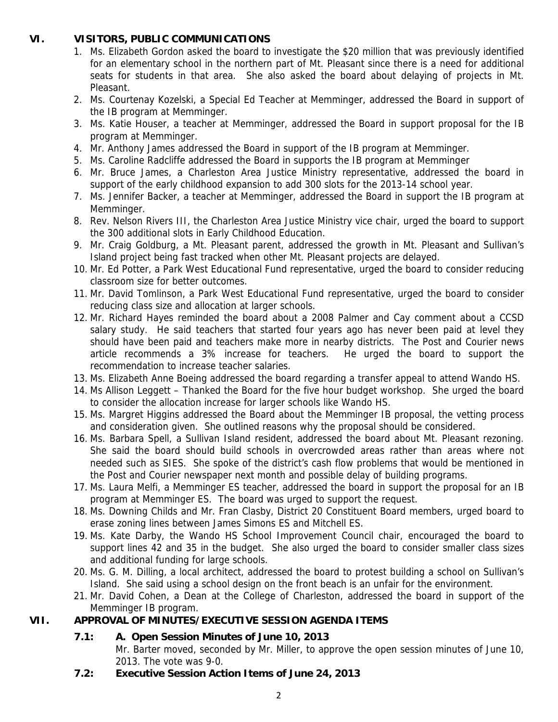## **VI. VISITORS, PUBLIC COMMUNICATIONS**

- 1. Ms. Elizabeth Gordon asked the board to investigate the \$20 million that was previously identified for an elementary school in the northern part of Mt. Pleasant since there is a need for additional seats for students in that area. She also asked the board about delaying of projects in Mt. Pleasant.
- 2. Ms. Courtenay Kozelski, a Special Ed Teacher at Memminger, addressed the Board in support of the IB program at Memminger.
- 3. Ms. Katie Houser, a teacher at Memminger, addressed the Board in support proposal for the IB program at Memminger.
- 4. Mr. Anthony James addressed the Board in support of the IB program at Memminger.
- 5. Ms. Caroline Radcliffe addressed the Board in supports the IB program at Memminger
- 6. Mr. Bruce James, a Charleston Area Justice Ministry representative, addressed the board in support of the early childhood expansion to add 300 slots for the 2013-14 school year.
- 7. Ms. Jennifer Backer, a teacher at Memminger, addressed the Board in support the IB program at Memminger.
- 8. Rev. Nelson Rivers III, the Charleston Area Justice Ministry vice chair, urged the board to support the 300 additional slots in Early Childhood Education.
- 9. Mr. Craig Goldburg, a Mt. Pleasant parent, addressed the growth in Mt. Pleasant and Sullivan's Island project being fast tracked when other Mt. Pleasant projects are delayed.
- 10. Mr. Ed Potter, a Park West Educational Fund representative, urged the board to consider reducing classroom size for better outcomes.
- 11. Mr. David Tomlinson, a Park West Educational Fund representative, urged the board to consider reducing class size and allocation at larger schools.
- 12. Mr. Richard Hayes reminded the board about a 2008 Palmer and Cay comment about a CCSD salary study. He said teachers that started four years ago has never been paid at level they should have been paid and teachers make more in nearby districts. The Post and Courier news article recommends a 3% increase for teachers. He urged the board to support the recommendation to increase teacher salaries.
- 13. Ms. Elizabeth Anne Boeing addressed the board regarding a transfer appeal to attend Wando HS.
- 14. Ms Allison Leggett Thanked the Board for the five hour budget workshop. She urged the board to consider the allocation increase for larger schools like Wando HS.
- 15. Ms. Margret Higgins addressed the Board about the Memminger IB proposal, the vetting process and consideration given. She outlined reasons why the proposal should be considered.
- 16. Ms. Barbara Spell, a Sullivan Island resident, addressed the board about Mt. Pleasant rezoning. She said the board should build schools in overcrowded areas rather than areas where not needed such as SIES. She spoke of the district's cash flow problems that would be mentioned in the Post and Courier newspaper next month and possible delay of building programs.
- 17. Ms. Laura Melfi, a Memminger ES teacher, addressed the board in support the proposal for an IB program at Memminger ES. The board was urged to support the request.
- 18. Ms. Downing Childs and Mr. Fran Clasby, District 20 Constituent Board members, urged board to erase zoning lines between James Simons ES and Mitchell ES.
- 19. Ms. Kate Darby, the Wando HS School Improvement Council chair, encouraged the board to support lines 42 and 35 in the budget. She also urged the board to consider smaller class sizes and additional funding for large schools.
- 20. Ms. G. M. Dilling, a local architect, addressed the board to protest building a school on Sullivan's Island. She said using a school design on the front beach is an unfair for the environment.
- 21. Mr. David Cohen, a Dean at the College of Charleston, addressed the board in support of the Memminger IB program.

# **VII. APPROVAL OF MINUTES/EXECUTIVE SESSION AGENDA ITEMS**

# **7.1: A. Open Session Minutes of June 10, 2013**

Mr. Barter moved, seconded by Mr. Miller, to approve the open session minutes of June 10, 2013. The vote was 9-0.

**7.2: Executive Session Action Items of June 24, 2013**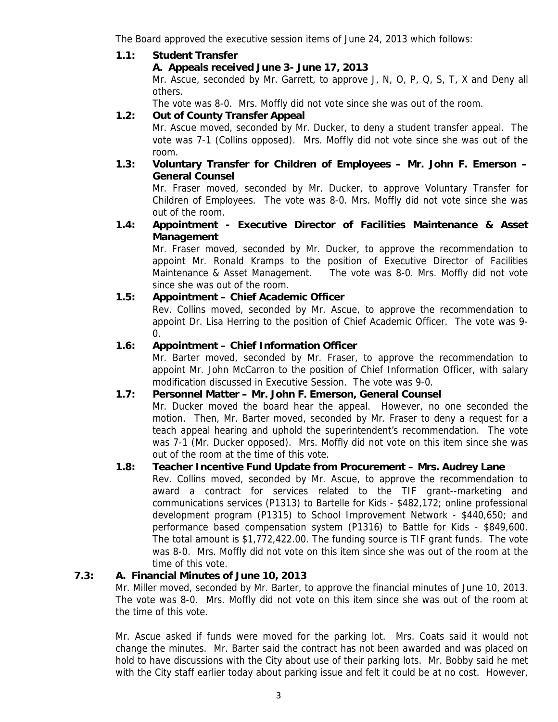The Board approved the executive session items of June 24, 2013 which follows:

## **1.1: Student Transfer**

## **A. Appeals received June 3- June 17, 2013**

Mr. Ascue, seconded by Mr. Garrett, to approve J, N, O, P, Q, S, T, X and Deny all others.

The vote was 8-0. Mrs. Moffly did not vote since she was out of the room.

## **1.2: Out of County Transfer Appeal**

Mr. Ascue moved, seconded by Mr. Ducker, to deny a student transfer appeal. The vote was 7-1 (Collins opposed). Mrs. Moffly did not vote since she was out of the room.

**1.3: Voluntary Transfer for Children of Employees – Mr. John F. Emerson – General Counsel** 

Mr. Fraser moved, seconded by Mr. Ducker, to approve Voluntary Transfer for Children of Employees. The vote was 8-0. Mrs. Moffly did not vote since she was out of the room.

**1.4: Appointment - Executive Director of Facilities Maintenance & Asset Management** 

Mr. Fraser moved, seconded by Mr. Ducker, to approve the recommendation to appoint Mr. Ronald Kramps to the position of Executive Director of Facilities Maintenance & Asset Management. The vote was 8-0. Mrs. Moffly did not vote since she was out of the room.

## **1.5: Appointment – Chief Academic Officer**

Rev. Collins moved, seconded by Mr. Ascue, to approve the recommendation to appoint Dr. Lisa Herring to the position of Chief Academic Officer. The vote was 9- 0.

## **1.6: Appointment – Chief Information Officer**

Mr. Barter moved, seconded by Mr. Fraser, to approve the recommendation to appoint Mr. John McCarron to the position of Chief Information Officer, with salary modification discussed in Executive Session. The vote was 9-0.

#### **1.7: Personnel Matter – Mr. John F. Emerson, General Counsel**

Mr. Ducker moved the board hear the appeal. However, no one seconded the motion. Then, Mr. Barter moved, seconded by Mr. Fraser to deny a request for a teach appeal hearing and uphold the superintendent's recommendation. The vote was 7-1 (Mr. Ducker opposed). Mrs. Moffly did not vote on this item since she was out of the room at the time of this vote.

## **1.8: Teacher Incentive Fund Update from Procurement – Mrs. Audrey Lane**

Rev. Collins moved, seconded by Mr. Ascue, to approve the recommendation to award a contract for services related to the TIF grant--marketing and communications services (P1313) to Bartelle for Kids - \$482,172; online professional development program (P1315) to School Improvement Network - \$440,650; and performance based compensation system (P1316) to Battle for Kids - \$849,600. The total amount is \$1,772,422.00. The funding source is TIF grant funds. The vote was 8-0. Mrs. Moffly did not vote on this item since she was out of the room at the time of this vote.

#### **7.3: A. Financial Minutes of June 10, 2013**

Mr. Miller moved, seconded by Mr. Barter, to approve the financial minutes of June 10, 2013. The vote was 8-0. Mrs. Moffly did not vote on this item since she was out of the room at the time of this vote.

Mr. Ascue asked if funds were moved for the parking lot. Mrs. Coats said it would not change the minutes. Mr. Barter said the contract has not been awarded and was placed on hold to have discussions with the City about use of their parking lots. Mr. Bobby said he met with the City staff earlier today about parking issue and felt it could be at no cost. However,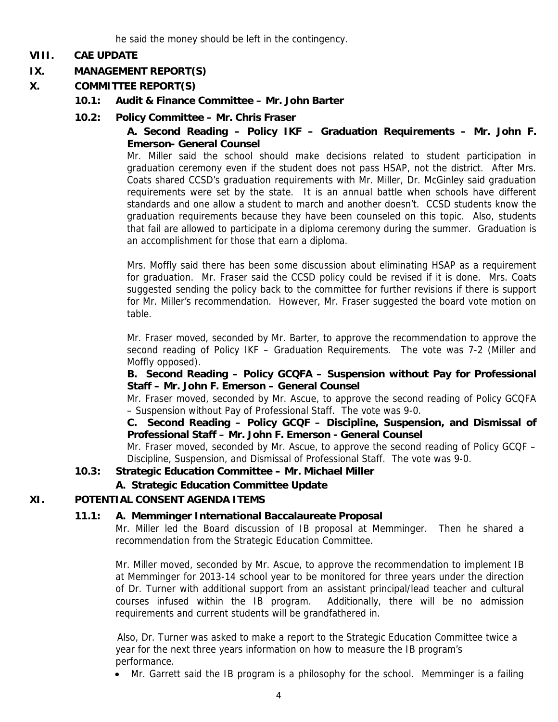he said the money should be left in the contingency.

## **VIII. CAE UPDATE**

## **IX. MANAGEMENT REPORT(S)**

- **X. COMMITTEE REPORT(S)** 
	- **10.1: Audit & Finance Committee Mr. John Barter**
	- **10.2: Policy Committee Mr. Chris Fraser**

## **A. Second Reading – Policy IKF – Graduation Requirements – Mr. John F. Emerson- General Counsel**

Mr. Miller said the school should make decisions related to student participation in graduation ceremony even if the student does not pass HSAP, not the district. After Mrs. Coats shared CCSD's graduation requirements with Mr. Miller, Dr. McGinley said graduation requirements were set by the state. It is an annual battle when schools have different standards and one allow a student to march and another doesn't. CCSD students know the graduation requirements because they have been counseled on this topic. Also, students that fail are allowed to participate in a diploma ceremony during the summer. Graduation is an accomplishment for those that earn a diploma.

Mrs. Moffly said there has been some discussion about eliminating HSAP as a requirement for graduation. Mr. Fraser said the CCSD policy could be revised if it is done. Mrs. Coats suggested sending the policy back to the committee for further revisions if there is support for Mr. Miller's recommendation. However, Mr. Fraser suggested the board vote motion on table.

Mr. Fraser moved, seconded by Mr. Barter, to approve the recommendation to approve the second reading of Policy IKF – Graduation Requirements. The vote was 7-2 (Miller and Moffly opposed).

#### **B. Second Reading – Policy GCQFA – Suspension without Pay for Professional Staff – Mr. John F. Emerson – General Counsel**

Mr. Fraser moved, seconded by Mr. Ascue, to approve the second reading of Policy GCQFA – Suspension without Pay of Professional Staff. The vote was 9-0.

 **C. Second Reading – Policy GCQF – Discipline, Suspension, and Dismissal of Professional Staff – Mr. John F. Emerson - General Counsel** 

Mr. Fraser moved, seconded by Mr. Ascue, to approve the second reading of Policy GCQF – Discipline, Suspension, and Dismissal of Professional Staff. The vote was 9-0.

#### **10.3: Strategic Education Committee – Mr. Michael Miller**

## **A. Strategic Education Committee Update**

## **XI. POTENTIAL CONSENT AGENDA ITEMS**

#### **11.1: A. Memminger International Baccalaureate Proposal**

Mr. Miller led the Board discussion of IB proposal at Memminger. Then he shared a recommendation from the Strategic Education Committee.

Mr. Miller moved, seconded by Mr. Ascue, to approve the recommendation to implement IB at Memminger for 2013-14 school year to be monitored for three years under the direction of Dr. Turner with additional support from an assistant principal/lead teacher and cultural courses infused within the IB program. Additionally, there will be no admission requirements and current students will be grandfathered in.

Also, Dr. Turner was asked to make a report to the Strategic Education Committee twice a year for the next three years information on how to measure the IB program's performance.

• Mr. Garrett said the IB program is a philosophy for the school. Memminger is a failing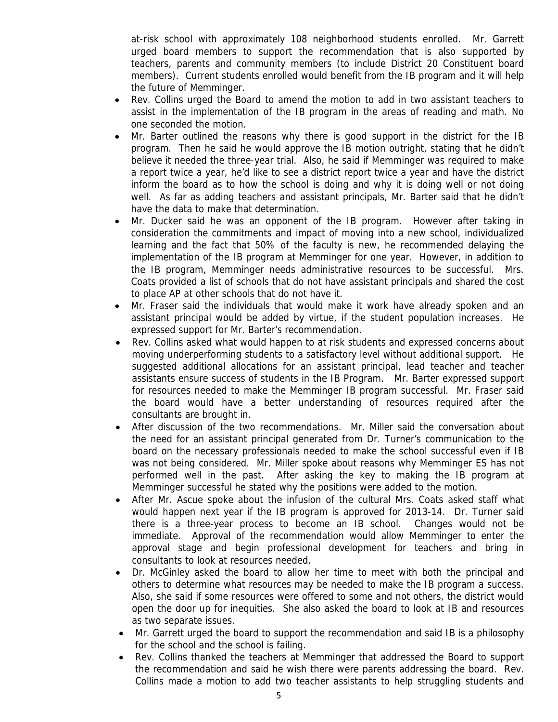at-risk school with approximately 108 neighborhood students enrolled. Mr. Garrett urged board members to support the recommendation that is also supported by teachers, parents and community members (to include District 20 Constituent board members). Current students enrolled would benefit from the IB program and it will help the future of Memminger.

- Rev. Collins urged the Board to amend the motion to add in two assistant teachers to assist in the implementation of the IB program in the areas of reading and math. No one seconded the motion.
- Mr. Barter outlined the reasons why there is good support in the district for the IB program. Then he said he would approve the IB motion outright, stating that he didn't believe it needed the three-year trial. Also, he said if Memminger was required to make a report twice a year, he'd like to see a district report twice a year and have the district inform the board as to how the school is doing and why it is doing well or not doing well. As far as adding teachers and assistant principals, Mr. Barter said that he didn't have the data to make that determination.
- Mr. Ducker said he was an opponent of the IB program. However after taking in consideration the commitments and impact of moving into a new school, individualized learning and the fact that 50% of the faculty is new, he recommended delaying the implementation of the IB program at Memminger for one year. However, in addition to the IB program, Memminger needs administrative resources to be successful. Mrs. Coats provided a list of schools that do not have assistant principals and shared the cost to place AP at other schools that do not have it.
- Mr. Fraser said the individuals that would make it work have already spoken and an assistant principal would be added by virtue, if the student population increases. He expressed support for Mr. Barter's recommendation.
- Rev. Collins asked what would happen to at risk students and expressed concerns about moving underperforming students to a satisfactory level without additional support. He suggested additional allocations for an assistant principal, lead teacher and teacher assistants ensure success of students in the IB Program. Mr. Barter expressed support for resources needed to make the Memminger IB program successful. Mr. Fraser said the board would have a better understanding of resources required after the consultants are brought in.
- After discussion of the two recommendations. Mr. Miller said the conversation about the need for an assistant principal generated from Dr. Turner's communication to the board on the necessary professionals needed to make the school successful even if IB was not being considered. Mr. Miller spoke about reasons why Memminger ES has not performed well in the past. After asking the key to making the IB program at Memminger successful he stated why the positions were added to the motion.
- After Mr. Ascue spoke about the infusion of the cultural Mrs. Coats asked staff what would happen next year if the IB program is approved for 2013-14. Dr. Turner said there is a three-year process to become an IB school. Changes would not be immediate. Approval of the recommendation would allow Memminger to enter the approval stage and begin professional development for teachers and bring in consultants to look at resources needed.
- Dr. McGinley asked the board to allow her time to meet with both the principal and others to determine what resources may be needed to make the IB program a success. Also, she said if some resources were offered to some and not others, the district would open the door up for inequities. She also asked the board to look at IB and resources as two separate issues.
- Mr. Garrett urged the board to support the recommendation and said IB is a philosophy for the school and the school is failing.
- Rev. Collins thanked the teachers at Memminger that addressed the Board to support the recommendation and said he wish there were parents addressing the board. Rev. Collins made a motion to add two teacher assistants to help struggling students and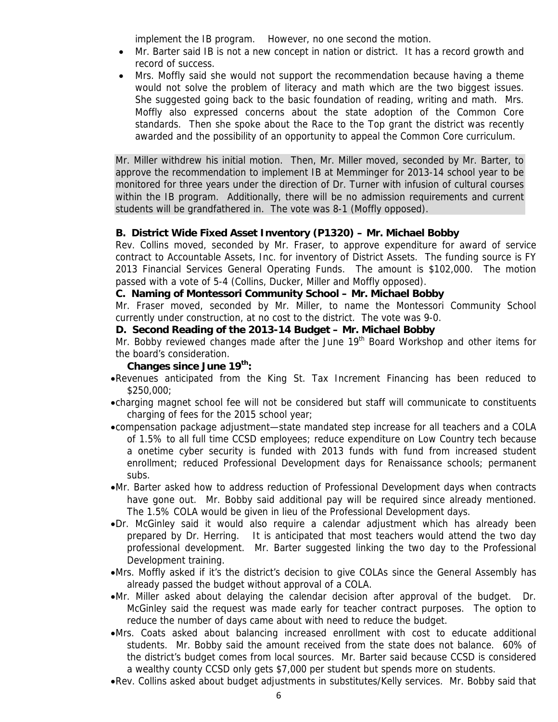implement the IB program. However, no one second the motion.

- Mr. Barter said IB is not a new concept in nation or district. It has a record growth and record of success.
- Mrs. Moffly said she would not support the recommendation because having a theme would not solve the problem of literacy and math which are the two biggest issues. She suggested going back to the basic foundation of reading, writing and math. Mrs. Moffly also expressed concerns about the state adoption of the Common Core standards. Then she spoke about the Race to the Top grant the district was recently awarded and the possibility of an opportunity to appeal the Common Core curriculum.

Mr. Miller withdrew his initial motion. Then, Mr. Miller moved, seconded by Mr. Barter, to approve the recommendation to implement IB at Memminger for 2013-14 school year to be monitored for three years under the direction of Dr. Turner with infusion of cultural courses within the IB program. Additionally, there will be no admission requirements and current students will be grandfathered in. The vote was 8-1 (Moffly opposed).

#### **B. District Wide Fixed Asset Inventory (P1320) – Mr. Michael Bobby**

Rev. Collins moved, seconded by Mr. Fraser, to approve expenditure for award of service contract to Accountable Assets, Inc. for inventory of District Assets. The funding source is FY 2013 Financial Services General Operating Funds. The amount is \$102,000. The motion passed with a vote of 5-4 (Collins, Ducker, Miller and Moffly opposed).

#### **C. Naming of Montessori Community School – Mr. Michael Bobby**

Mr. Fraser moved, seconded by Mr. Miller, to name the Montessori Community School currently under construction, at no cost to the district. The vote was 9-0.

#### **D. Second Reading of the 2013-14 Budget – Mr. Michael Bobby**

Mr. Bobby reviewed changes made after the June  $19<sup>th</sup>$  Board Workshop and other items for the board's consideration.

## **Changes since June 19th:**

- •Revenues anticipated from the King St. Tax Increment Financing has been reduced to \$250,000;
- •charging magnet school fee will not be considered but staff will communicate to constituents charging of fees for the 2015 school year;
- •compensation package adjustment—state mandated step increase for all teachers and a COLA of 1.5% to all full time CCSD employees; reduce expenditure on Low Country tech because a onetime cyber security is funded with 2013 funds with fund from increased student enrollment; reduced Professional Development days for Renaissance schools; permanent subs.
- •Mr. Barter asked how to address reduction of Professional Development days when contracts have gone out. Mr. Bobby said additional pay will be required since already mentioned. The 1.5% COLA would be given in lieu of the Professional Development days.
- •Dr. McGinley said it would also require a calendar adjustment which has already been prepared by Dr. Herring. It is anticipated that most teachers would attend the two day professional development. Mr. Barter suggested linking the two day to the Professional Development training.
- •Mrs. Moffly asked if it's the district's decision to give COLAs since the General Assembly has already passed the budget without approval of a COLA.
- •Mr. Miller asked about delaying the calendar decision after approval of the budget. Dr. McGinley said the request was made early for teacher contract purposes. The option to reduce the number of days came about with need to reduce the budget.
- •Mrs. Coats asked about balancing increased enrollment with cost to educate additional students. Mr. Bobby said the amount received from the state does not balance. 60% of the district's budget comes from local sources. Mr. Barter said because CCSD is considered a wealthy county CCSD only gets \$7,000 per student but spends more on students.
- •Rev. Collins asked about budget adjustments in substitutes/Kelly services. Mr. Bobby said that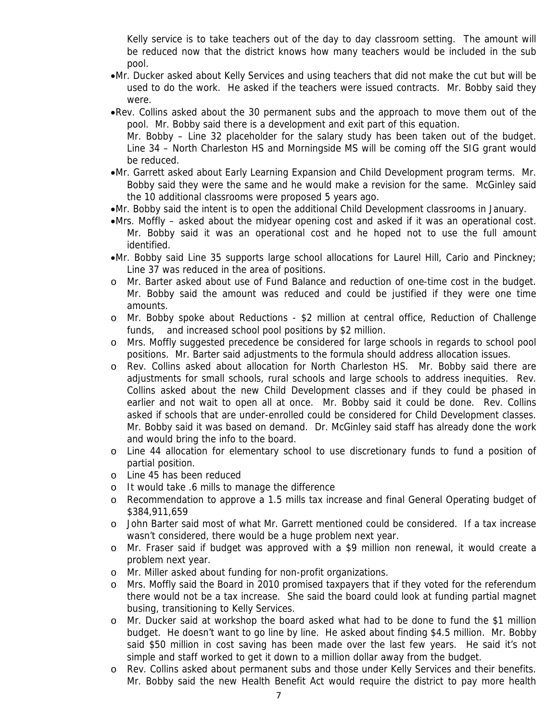Kelly service is to take teachers out of the day to day classroom setting. The amount will be reduced now that the district knows how many teachers would be included in the sub pool.

- •Mr. Ducker asked about Kelly Services and using teachers that did not make the cut but will be used to do the work. He asked if the teachers were issued contracts. Mr. Bobby said they were.
- •Rev. Collins asked about the 30 permanent subs and the approach to move them out of the pool. Mr. Bobby said there is a development and exit part of this equation.

Mr. Bobby – Line 32 placeholder for the salary study has been taken out of the budget. Line 34 – North Charleston HS and Morningside MS will be coming off the SIG grant would be reduced.

- •Mr. Garrett asked about Early Learning Expansion and Child Development program terms. Mr. Bobby said they were the same and he would make a revision for the same. McGinley said the 10 additional classrooms were proposed 5 years ago.
- •Mr. Bobby said the intent is to open the additional Child Development classrooms in January.
- •Mrs. Moffly asked about the midyear opening cost and asked if it was an operational cost. Mr. Bobby said it was an operational cost and he hoped not to use the full amount identified.
- •Mr. Bobby said Line 35 supports large school allocations for Laurel Hill, Cario and Pinckney; Line 37 was reduced in the area of positions.
- o Mr. Barter asked about use of Fund Balance and reduction of one-time cost in the budget. Mr. Bobby said the amount was reduced and could be justified if they were one time amounts.
- o Mr. Bobby spoke about Reductions \$2 million at central office, Reduction of Challenge funds, and increased school pool positions by \$2 million.
- o Mrs. Moffly suggested precedence be considered for large schools in regards to school pool positions. Mr. Barter said adjustments to the formula should address allocation issues.
- o Rev. Collins asked about allocation for North Charleston HS. Mr. Bobby said there are adjustments for small schools, rural schools and large schools to address inequities. Rev. Collins asked about the new Child Development classes and if they could be phased in earlier and not wait to open all at once. Mr. Bobby said it could be done. Rev. Collins asked if schools that are under-enrolled could be considered for Child Development classes. Mr. Bobby said it was based on demand. Dr. McGinley said staff has already done the work and would bring the info to the board.
- o Line 44 allocation for elementary school to use discretionary funds to fund a position of partial position.
- o Line 45 has been reduced
- o It would take .6 mills to manage the difference
- o Recommendation to approve a 1.5 mills tax increase and final General Operating budget of \$384,911,659
- o John Barter said most of what Mr. Garrett mentioned could be considered. If a tax increase wasn't considered, there would be a huge problem next year.
- o Mr. Fraser said if budget was approved with a \$9 million non renewal, it would create a problem next year.
- o Mr. Miller asked about funding for non-profit organizations.
- o Mrs. Moffly said the Board in 2010 promised taxpayers that if they voted for the referendum there would not be a tax increase. She said the board could look at funding partial magnet busing, transitioning to Kelly Services.
- o Mr. Ducker said at workshop the board asked what had to be done to fund the \$1 million budget. He doesn't want to go line by line. He asked about finding \$4.5 million. Mr. Bobby said \$50 million in cost saving has been made over the last few years. He said it's not simple and staff worked to get it down to a million dollar away from the budget.
- o Rev. Collins asked about permanent subs and those under Kelly Services and their benefits. Mr. Bobby said the new Health Benefit Act would require the district to pay more health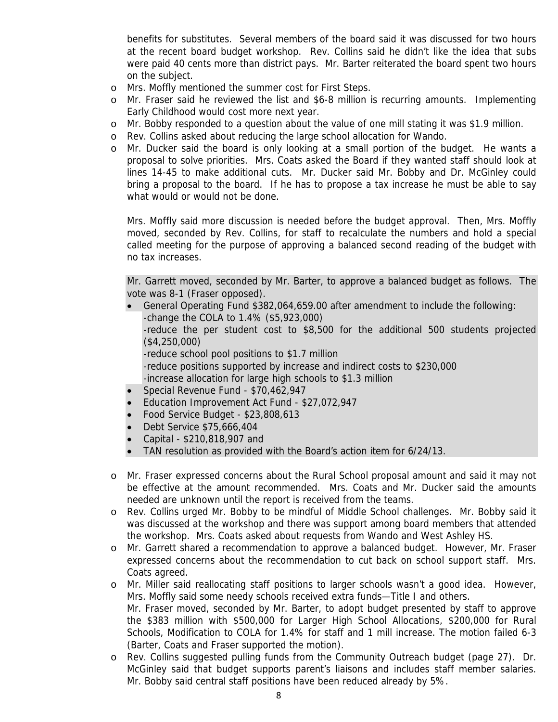benefits for substitutes. Several members of the board said it was discussed for two hours at the recent board budget workshop. Rev. Collins said he didn't like the idea that subs were paid 40 cents more than district pays. Mr. Barter reiterated the board spent two hours on the subject.

- o Mrs. Moffly mentioned the summer cost for First Steps.
- o Mr. Fraser said he reviewed the list and \$6-8 million is recurring amounts. Implementing Early Childhood would cost more next year.
- o Mr. Bobby responded to a question about the value of one mill stating it was \$1.9 million.
- o Rev. Collins asked about reducing the large school allocation for Wando.
- o Mr. Ducker said the board is only looking at a small portion of the budget. He wants a proposal to solve priorities. Mrs. Coats asked the Board if they wanted staff should look at lines 14-45 to make additional cuts. Mr. Ducker said Mr. Bobby and Dr. McGinley could bring a proposal to the board. If he has to propose a tax increase he must be able to say what would or would not be done.

Mrs. Moffly said more discussion is needed before the budget approval. Then, Mrs. Moffly moved, seconded by Rev. Collins, for staff to recalculate the numbers and hold a special called meeting for the purpose of approving a balanced second reading of the budget with no tax increases.

Mr. Garrett moved, seconded by Mr. Barter, to approve a balanced budget as follows. The vote was 8-1 (Fraser opposed).

- General Operating Fund \$382,064,659.00 after amendment to include the following: -change the COLA to 1.4% (\$5,923,000) -reduce the per student cost to \$8,500 for the additional 500 students projected (\$4,250,000) -reduce school pool positions to \$1.7 million -reduce positions supported by increase and indirect costs to \$230,000 -increase allocation for large high schools to \$1.3 million
- Special Revenue Fund \$70,462,947
- Education Improvement Act Fund \$27,072,947
- Food Service Budget \$23,808,613
- Debt Service \$75,666,404
- Capital \$210,818,907 and
- TAN resolution as provided with the Board's action item for 6/24/13.
- o Mr. Fraser expressed concerns about the Rural School proposal amount and said it may not be effective at the amount recommended. Mrs. Coats and Mr. Ducker said the amounts needed are unknown until the report is received from the teams.
- o Rev. Collins urged Mr. Bobby to be mindful of Middle School challenges. Mr. Bobby said it was discussed at the workshop and there was support among board members that attended the workshop. Mrs. Coats asked about requests from Wando and West Ashley HS.
- o Mr. Garrett shared a recommendation to approve a balanced budget. However, Mr. Fraser expressed concerns about the recommendation to cut back on school support staff. Mrs. Coats agreed.
- o Mr. Miller said reallocating staff positions to larger schools wasn't a good idea. However, Mrs. Moffly said some needy schools received extra funds—Title I and others. Mr. Fraser moved, seconded by Mr. Barter, to adopt budget presented by staff to approve the \$383 million with \$500,000 for Larger High School Allocations, \$200,000 for Rural Schools, Modification to COLA for 1.4% for staff and 1 mill increase. The motion failed 6-3 (Barter, Coats and Fraser supported the motion).
- o Rev. Collins suggested pulling funds from the Community Outreach budget (page 27). Dr. McGinley said that budget supports parent's liaisons and includes staff member salaries. Mr. Bobby said central staff positions have been reduced already by 5%.